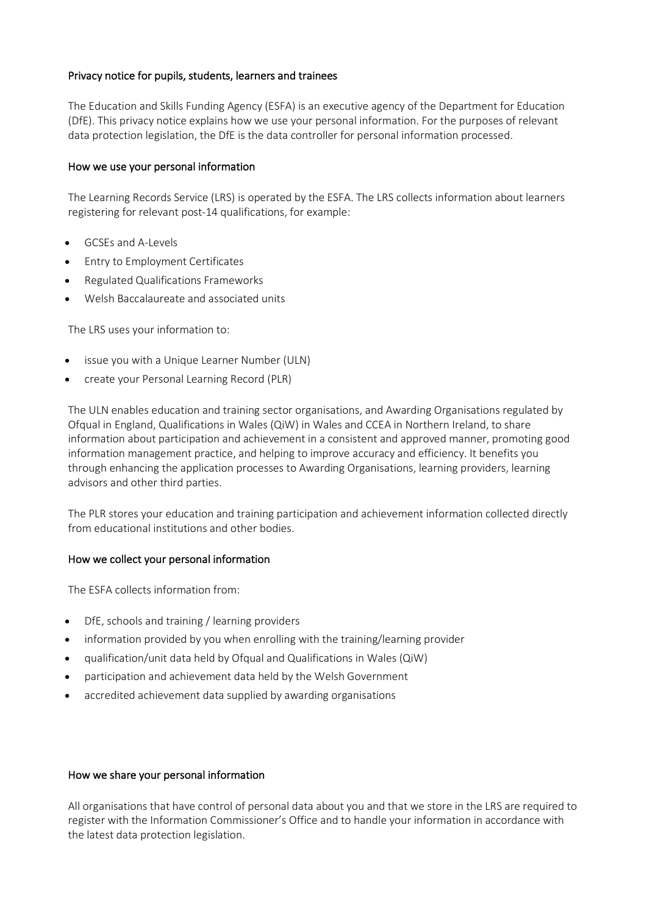## Privacy notice for pupils, students, learners and trainees

The Education and Skills Funding Agency (ESFA) is an executive agency of the Department for Education (DfE). This privacy notice explains how we use your personal information. For the purposes of relevant data protection legislation, the DfE is the data controller for personal information processed.

### How we use your personal information

The Learning Records Service (LRS) is operated by the ESFA. The LRS collects information about learners registering for relevant post-14 qualifications, for example:

- GCSEs and A-Levels
- Entry to Employment Certificates
- Regulated Qualifications Frameworks
- Welsh Baccalaureate and associated units

The LRS uses your information to:

- issue you with a Unique Learner Number (ULN)
- create your Personal Learning Record (PLR)

The ULN enables education and training sector organisations, and Awarding Organisations regulated by Ofqual in England, Qualifications in Wales (QiW) in Wales and CCEA in Northern Ireland, to share information about participation and achievement in a consistent and approved manner, promoting good information management practice, and helping to improve accuracy and efficiency. It benefits you through enhancing the application processes to Awarding Organisations, learning providers, learning advisors and other third parties.

The PLR stores your education and training participation and achievement information collected directly from educational institutions and other bodies.

### How we collect your personal information

The ESFA collects information from:

- DfE, schools and training / learning providers
- information provided by you when enrolling with the training/learning provider
- qualification/unit data held by Ofqual and Qualifications in Wales (QiW)
- participation and achievement data held by the Welsh Government
- accredited achievement data supplied by awarding organisations

#### How we share your personal information

All organisations that have control of personal data about you and that we store in the LRS are required to register with the Information Commissioner's Office and to handle your information in accordance with the latest data protection legislation.